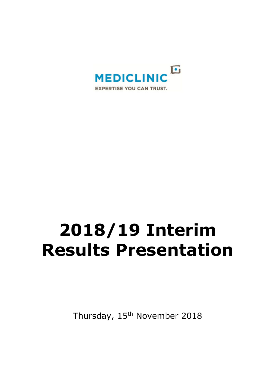

# **2018/19 Interim Results Presentation**

Thursday, 15<sup>th</sup> November 2018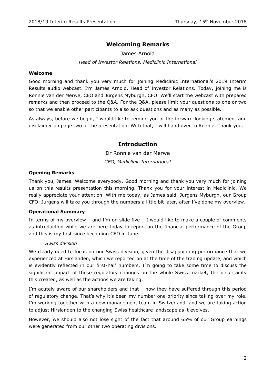# **Welcoming Remarks**

# James Arnold *Head of Investor Relations, Mediclinic International*

#### **Welcome**

Good morning and thank you very much for joining Mediclinic International's 2019 Interim Results audio webcast. I'm James Arnold, Head of Investor Relations. Today, joining me is Ronnie van der Merwe, CEO and Jurgens Myburgh, CFO. We'll start the webcast with prepared remarks and then proceed to the Q&A. For the Q&A, please limit your questions to one or two so that we enable other participants to also ask questions and as many as possible.

As always, before we begin, I would like to remind you of the forward-looking statement and disclaimer on page two of the presentation. With that, I will hand over to Ronnie. Thank you.

# **Introduction**

Dr Ronnie van der Merwe *CEO, Mediclinic International* 

#### **Opening Remarks**

Thank you, James. Welcome everybody. Good morning and thank you very much for joining us on this results presentation this morning. Thank you for your interest in Mediclinic. We really appreciate your attention. With me today, as James said, Jurgens Myburgh, our Group CFO. Jurgens will take you through the numbers a little bit later, after I've done my overview.

#### **Operational Summary**

In terms of my overview – and I'm on slide five  $-1$  would like to make a couple of comments as introduction while we are here today to report on the financial performance of the Group and this is my first since becoming CEO in June.

#### *Swiss division*

We clearly need to focus on our Swiss division, given the disappointing performance that we experienced at Hirslanden, which we reported on at the time of the trading update, and which is evidently reflected in our first-half numbers. I'm going to take some time to discuss the significant impact of those regulatory changes on the whole Swiss market, the uncertainty this created, as well as the actions we are taking.

I'm acutely aware of our shareholders and that – how they have suffered through this period of regulatory change. That's why it's been my number one priority since taking over my role. I'm working together with a new management team in Switzerland, and we are taking action to adjust Hirslanden to the changing Swiss healthcare landscape as it evolves.

However, we should also not lose sight of the fact that around 65% of our Group earnings were generated from our other two operating divisions.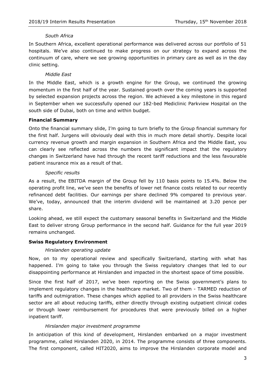#### *South Africa*

In Southern Africa, excellent operational performance was delivered across our portfolio of 51 hospitals. We've also continued to make progress on our strategy to expand across the continuum of care, where we see growing opportunities in primary care as well as in the day clinic setting.

#### *Middle East*

In the Middle East, which is a growth engine for the Group, we continued the growing momentum in the first half of the year. Sustained growth over the coming years is supported by selected expansion projects across the region. We achieved a key milestone in this regard in September when we successfully opened our 182-bed Mediclinic Parkview Hospital on the south side of Dubai, both on time and within budget.

#### **Financial Summary**

Onto the financial summary slide, I'm going to turn briefly to the Group financial summary for the first half. Jurgens will obviously deal with this in much more detail shortly. Despite local currency revenue growth and margin expansion in Southern Africa and the Middle East, you can clearly see reflected across the numbers the significant impact that the regulatory changes in Switzerland have had through the recent tariff reductions and the less favourable patient insurance mix as a result of that.

#### *Specific results*

As a result, the EBITDA margin of the Group fell by 110 basis points to 15.4%. Below the operating profit line, we've seen the benefits of lower net finance costs related to our recently refinanced debt facilities. Our earnings per share declined 9% compared to previous year. We've, today, announced that the interim dividend will be maintained at 3.20 pence per share.

Looking ahead, we still expect the customary seasonal benefits in Switzerland and the Middle East to deliver strong Group performance in the second half. Guidance for the full year 2019 remains unchanged.

#### **Swiss Regulatory Environment**

#### *Hirslanden operating update*

Now, on to my operational review and specifically Switzerland, starting with what has happened. I'm going to take you through the Swiss regulatory changes that led to our disappointing performance at Hirslanden and impacted in the shortest space of time possible.

Since the first half of 2017, we've been reporting on the Swiss government's plans to implement regulatory changes in the healthcare market. Two of them - TARMED reduction of tariffs and outmigration. These changes which applied to all providers in the Swiss healthcare sector are all about reducing tariffs, either directly through existing outpatient clinical codes or through lower reimbursement for procedures that were previously billed on a higher inpatient tariff.

#### *Hirslanden major investment programme*

In anticipation of this kind of development, Hirslanden embarked on a major investment programme, called Hirslanden 2020, in 2014. The programme consists of three components. The first component, called HIT2020, aims to improve the Hirslanden corporate model and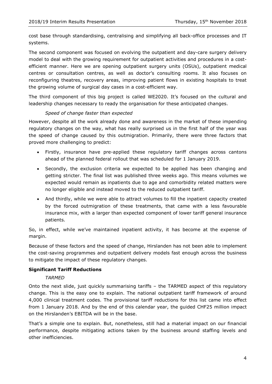cost base through standardising, centralising and simplifying all back-office processes and IT systems.

The second component was focused on evolving the outpatient and day-care surgery delivery model to deal with the growing requirement for outpatient activities and procedures in a costefficient manner. Here we are opening outpatient surgery units (OSUs), outpatient medical centres or consultation centres, as well as doctor's consulting rooms. It also focuses on reconfiguring theatres, recovery areas, improving patient flows in existing hospitals to treat the growing volume of surgical day cases in a cost-efficient way.

The third component of this big project is called WE2020. It's focused on the cultural and leadership changes necessary to ready the organisation for these anticipated changes.

#### *Speed of change faster than expected*

However, despite all the work already done and awareness in the market of these impending regulatory changes on the way, what has really surprised us in the first half of the year was the speed of change caused by this outmigration. Primarily, there were three factors that proved more challenging to predict:

- Firstly, insurance have pre-applied these regulatory tariff changes across cantons ahead of the planned federal rollout that was scheduled for 1 January 2019.
- Secondly, the exclusion criteria we expected to be applied has been changing and getting stricter. The final list was published three weeks ago. This means volumes we expected would remain as inpatients due to age and comorbidity related matters were no longer eligible and instead moved to the reduced outpatient tariff.
- And thirdly, while we were able to attract volumes to fill the inpatient capacity created by the forced outmigration of these treatments, that came with a less favourable insurance mix, with a larger than expected component of lower tariff general insurance patients.

So, in effect, while we've maintained inpatient activity, it has become at the expense of margin.

Because of these factors and the speed of change, Hirslanden has not been able to implement the cost-saving programmes and outpatient delivery models fast enough across the business to mitigate the impact of these regulatory changes.

#### **Significant Tariff Reductions**

#### *TARMED*

Onto the next slide, just quickly summarising tariffs – the TARMED aspect of this regulatory change. This is the easy one to explain. The national outpatient tariff framework of around 4,000 clinical treatment codes. The provisional tariff reductions for this list came into effect from 1 January 2018. And by the end of this calendar year, the guided CHF25 million impact on the Hirslanden's EBITDA will be in the base.

That's a simple one to explain. But, nonetheless, still had a material impact on our financial performance, despite mitigating actions taken by the business around staffing levels and other inefficiencies.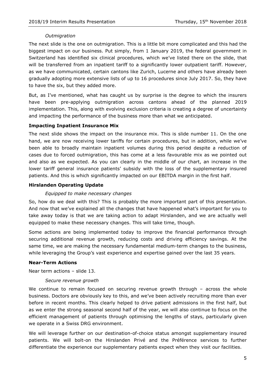#### *Outmigration*

The next slide is the one on outmigration. This is a little bit more complicated and this had the biggest impact on our business. Put simply, from 1 January 2019, the federal government in Switzerland has identified six clinical procedures, which we've listed there on the slide, that will be transferred from an inpatient tariff to a significantly lower outpatient tariff. However, as we have communicated, certain cantons like Zurich, Lucerne and others have already been gradually adopting more extensive lists of up to 16 procedures since July 2017. So, they have to have the six, but they added more.

But, as I've mentioned, what has caught us by surprise is the degree to which the insurers have been pre-applying outmigration across cantons ahead of the planned 2019 implementation. This, along with evolving exclusion criteria is creating a degree of uncertainty and impacting the performance of the business more than what we anticipated.

#### **Impacting Inpatient Insurance Mix**

The next slide shows the impact on the insurance mix. This is slide number 11. On the one hand, we are now receiving lower tariffs for certain procedures, but in addition, while we've been able to broadly maintain inpatient volumes during this period despite a reduction of cases due to forced outmigration, this has come at a less favourable mix as we pointed out and also as we expected. As you can clearly in the middle of our chart, an increase in the lower tariff general insurance patients' subsidy with the loss of the supplementary insured patients. And this is which significantly impacted on our EBITDA margin in the first half.

#### **Hirslanden Operating Update**

#### *Equipped to make necessary changes*

So, how do we deal with this? This is probably the more important part of this presentation. And now that we've explained all the changes that have happened what's important for you to take away today is that we are taking action to adapt Hirslanden, and we are actually well equipped to make these necessary changes. This will take time, though.

Some actions are being implemented today to improve the financial performance through securing additional revenue growth, reducing costs and driving efficiency savings. At the same time, we are making the necessary fundamental medium-term changes to the business, while leveraging the Group's vast experience and expertise gained over the last 35 years.

#### **Near-Term Actions**

Near term actions – slide 13.

#### *Secure revenue growth*

We continue to remain focused on securing revenue growth through – across the whole business. Doctors are obviously key to this, and we've been actively recruiting more than ever before in recent months. This clearly helped to drive patient admissions in the first half, but as we enter the strong seasonal second half of the year, we will also continue to focus on the efficient management of patients through optimising the lengths of stays, particularly given we operate in a Swiss DRG environment.

We will leverage further on our destination-of-choice status amongst supplementary insured patients. We will bolt-on the Hirslanden Privé and the Préférence services to further differentiate the experience our supplementary patients expect when they visit our facilities.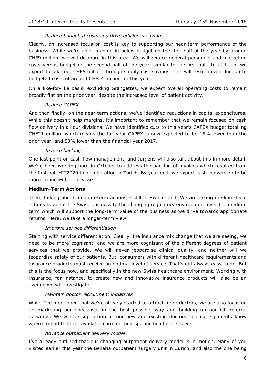#### *Reduce budgeted costs and drive efficiency savings*

Clearly, an increased focus on cost is key to supporting our near-term performance of the business. While we're able to come in below budget on the first half of the year by around CHF9 million, we will do more in this area. We will reduce general personnel and marketing costs versus budget in the second half of the year, similar to the first half. In addition, we expect to take out CHF5 million through supply cost savings. This will result in a reduction to budgeted costs of around CHF24 million for this year.

On a like-for-like basis, excluding Grangettes, we expect overall operating costs to remain broadly flat on the prior year, despite the increased level of patient activity.

#### *Reduce CAPEX*

And then finally, on the near-term actions, we've identified reductions in capital expenditures. While this doesn't help margins, it's important to remember that we remain focused on cash flow delivery in all our divisions. We have identified cuts to this year's CAPEX budget totalling CHF21 million, which means the full-year CAPEX is now expected to be 15% lower than the prior year, and 53% lower than the financial year 2017.

#### *Invoice backlog*

One last point on cash flow management, and Jurgens will also talk about this in more detail. We've been working hard in October to address the backlog of invoices which resulted from the first half HIT2020 implementation in Zurich. By year end, we expect cash conversion to be more in-line with prior years.

#### **Medium-Term Actions**

Then, talking about medium-term actions – still in Switzerland. We are taking medium-term actions to adapt the Swiss business to the changing regulatory environment over the medium term which will support the long-term value of the business as we drive towards appropriate returns. Here, we take a longer-term view.

#### *Improve service differentiation*

Starting with service differentiation. Clearly, the insurance mix change that we are seeing, we need to be more cognisant, and we are more cognisant of the different degrees of patient services that we provide. We will never jeopardise clinical quality, and neither will we jeopardise safety of our patients. But, consumers with different healthcare requirements and insurance products must receive an optimal level of service. That's not always easy to do. But this is the focus now, and specifically in the new Swiss healthcare environment. Working with insurance, for instance, to create new and innovative insurance products will also be an avenue we will investigate.

#### *Maintain doctor recruitment initiatives*

While I've mentioned that we've already started to attract more doctors, we are also focusing on marketing our specialists in the best possible way and building up our GP referral networks. We will be supporting all our new and existing doctors to ensure patients know where to find the best available care for their specific healthcare needs.

#### *Advance outpatient delivery model*

I've already outlined that our changing outpatient delivery model is in motion. Many of you visited earlier this year the Bellaria outpatient surgery unit in Zurich, and also the one being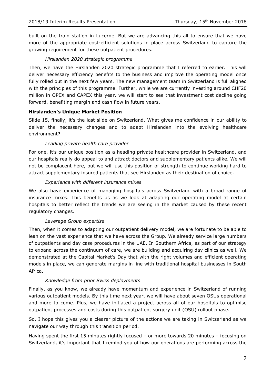built on the train station in Lucerne. But we are advancing this all to ensure that we have more of the appropriate cost-efficient solutions in place across Switzerland to capture the growing requirement for these outpatient procedures.

#### *Hirslanden 2020 strategic programme*

Then, we have the Hirslanden 2020 strategic programme that I referred to earlier. This will deliver necessary efficiency benefits to the business and improve the operating model once fully rolled out in the next few years. The new management team in Switzerland is full aligned with the principles of this programme. Further, while we are currently investing around CHF20 million in OPEX and CAPEX this year, we will start to see that investment cost decline going forward, benefiting margin and cash flow in future years.

#### **Hirslanden's Unique Market Position**

Slide 15, finally, it's the last slide on Switzerland. What gives me confidence in our ability to deliver the necessary changes and to adapt Hirslanden into the evolving healthcare environment?

#### *Leading private health care provider*

For one, it's our unique position as a heading private healthcare provider in Switzerland, and our hospitals really do appeal to and attract doctors and supplementary patients alike. We will not be complacent here, but we will use this position of strength to continue working hard to attract supplementary insured patients that see Hirslanden as their destination of choice.

#### *Experience with different insurance mixes*

We also have experience of managing hospitals across Switzerland with a broad range of insurance mixes. This benefits us as we look at adapting our operating model at certain hospitals to better reflect the trends we are seeing in the market caused by these recent regulatory changes.

#### *Leverage Group expertise*

Then, when it comes to adapting our outpatient delivery model, we are fortunate to be able to lean on the vast experience that we have across the Group. We already service large numbers of outpatients and day case procedures in the UAE. In Southern Africa, as part of our strategy to expand across the continuum of care, we are building and acquiring day clinics as well. We demonstrated at the Capital Market's Day that with the right volumes and efficient operating models in place, we can generate margins in line with traditional hospital businesses in South Africa.

#### *Knowledge from prior Swiss deployments*

Finally, as you know, we already have momentum and experience in Switzerland of running various outpatient models. By this time next year, we will have about seven OSUs operational and more to come. Plus, we have initiated a project across all of our hospitals to optimise outpatient processes and costs during this outpatient surgery unit (OSU) rollout phase.

So, I hope this gives you a clearer picture of the actions we are taking in Switzerland as we navigate our way through this transition period.

Having spent the first 15 minutes rightly focused – or more towards 20 minutes – focusing on Switzerland, it's important that I remind you of how our operations are performing across the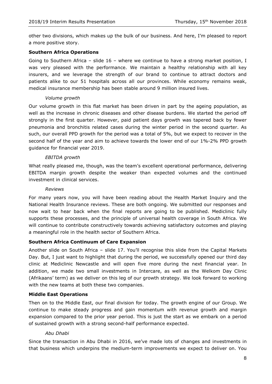other two divisions, which makes up the bulk of our business. And here, I'm pleased to report a more positive story.

#### **Southern Africa Operations**

Going to Southern Africa – slide 16 – where we continue to have a strong market position, I was very pleased with the performance. We maintain a healthy relationship with all key insurers, and we leverage the strength of our brand to continue to attract doctors and patients alike to our 51 hospitals across all our provinces. While economy remains weak, medical insurance membership has been stable around 9 million insured lives.

#### *Volume growth*

Our volume growth in this flat market has been driven in part by the ageing population, as well as the increase in chronic diseases and other disease burdens. We started the period off strongly in the first quarter. However, paid patient days growth was tapered back by fewer pneumonia and bronchitis related cases during the winter period in the second quarter. As such, our overall PPD growth for the period was a total of 5%, but we expect to recover in the second half of the year and aim to achieve towards the lower end of our 1%-2% PPD growth guidance for financial year 2019.

#### *EBITDA growth*

What really pleased me, though, was the team's excellent operational performance, delivering EBITDA margin growth despite the weaker than expected volumes and the continued investment in clinical services.

#### *Reviews*

For many years now, you will have been reading about the Health Market Inquiry and the National Health Insurance reviews. These are both ongoing. We submitted our responses and now wait to hear back when the final reports are going to be published. Mediclinic fully supports these processes, and the principle of universal health coverage in South Africa. We will continue to contribute constructively towards achieving satisfactory outcomes and playing a meaningful role in the health sector of Southern Africa.

#### **Southern Africa Continuum of Care Expansion**

Another slide on South Africa – slide 17. You'll recognise this slide from the Capital Markets Day. But, I just want to highlight that during the period, we successfully opened our third day clinic at Mediclinic Newcastle and will open five more during the next financial year. In addition, we made two small investments in Intercare, as well as the Welkom Day Clinic (Afrikaans' term) as we deliver on this leg of our growth strategy. We look forward to working with the new teams at both these two companies.

#### **Middle East Operations**

Then on to the Middle East, our final division for today. The growth engine of our Group. We continue to make steady progress and gain momentum with revenue growth and margin expansion compared to the prior year period. This is just the start as we embark on a period of sustained growth with a strong second-half performance expected.

#### *Abu Dhabi*

Since the transaction in Abu Dhabi in 2016, we've made lots of changes and investments in that business which underpins the medium-term improvements we expect to deliver on. You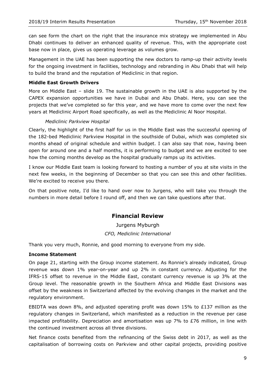can see form the chart on the right that the insurance mix strategy we implemented in Abu Dhabi continues to deliver an enhanced quality of revenue. This, with the appropriate cost base now in place, gives us operating leverage as volumes grow.

Management in the UAE has been supporting the new doctors to ramp-up their activity levels for the ongoing investment in facilities, technology and rebranding in Abu Dhabi that will help to build the brand and the reputation of Mediclinic in that region.

#### **Middle East Growth Drivers**

More on Middle East – slide 19. The sustainable growth in the UAE is also supported by the CAPEX expansion opportunities we have in Dubai and Abu Dhabi. Here, you can see the projects that we've completed so far this year, and we have more to come over the next few years at Mediclinic Airport Road specifically, as well as the Mediclinic Al Noor Hospital.

#### *Mediclinic Parkview Hospital*

Clearly, the highlight of the first half for us in the Middle East was the successful opening of the 182-bed Mediclinic Parkview Hospital in the southside of Dubai, which was completed six months ahead of original schedule and within budget. I can also say that now, having been open for around one and a half months, it is performing to budget and we are excited to see how the coming months develop as the hospital gradually ramps up its activities.

I know our Middle East team is looking forward to hosting a number of you at site visits in the next few weeks, in the beginning of December so that you can see this and other facilities. We're excited to receive you there.

On that positive note, I'd like to hand over now to Jurgens, who will take you through the numbers in more detail before I round off, and then we can take questions after that.

# **Financial Review**

Jurgens Myburgh *CFO, Mediclinic International*

Thank you very much, Ronnie, and good morning to everyone from my side.

#### **Income Statement**

On page 21, starting with the Group income statement. As Ronnie's already indicated, Group revenue was down 1% year-on-year and up 2% in constant currency. Adjusting for the IFRS-15 offset to revenue in the Middle East, constant currency revenue is up 3% at the Group level. The reasonable growth in the Southern Africa and Middle East Divisions was offset by the weakness in Switzerland affected by the evolving changes in the market and the regulatory environment.

EBIDTA was down 8%, and adjusted operating profit was down 15% to £137 million as the regulatory changes in Switzerland, which manifested as a reduction in the revenue per case impacted profitability. Depreciation and amortisation was up 7% to  $E$ 76 million, in line with the continued investment across all three divisions.

Net finance costs benefited from the refinancing of the Swiss debt in 2017, as well as the capitalisation of borrowing costs on Parkview and other capital projects, providing positive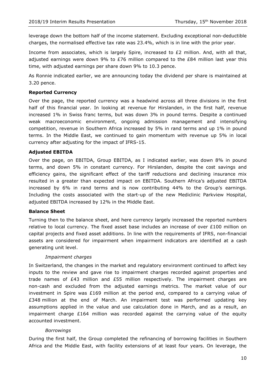leverage down the bottom half of the income statement. Excluding exceptional non-deductible charges, the normalised effective tax rate was 23.4%, which is in line with the prior year.

Income from associates, which is largely Spire, increased to £2 million. And, with all that, adjusted earnings were down 9% to  $E76$  million compared to the  $E84$  million last year this time, with adjusted earnings per share down 9% to 10.3 pence.

As Ronnie indicated earlier, we are announcing today the dividend per share is maintained at 3.20 pence.

#### **Reported Currency**

Over the page, the reported currency was a headwind across all three divisions in the first half of this financial year. In looking at revenue for Hirslanden, in the first half, revenue increased 1% in Swiss franc terms, but was down 3% in pound terms. Despite a continued weak macroeconomic environment, ongoing admission management and intensifying competition, revenue in Southern Africa increased by 5% in rand terms and up 1% in pound terms. In the Middle East, we continued to gain momentum with revenue up 5% in local currency after adjusting for the impact of IFRS-15.

#### **Adjusted EBITDA**

Over the page, on EBITDA, Group EBITDA, as I indicated earlier, was down 8% in pound terms, and down 5% in constant currency. For Hirslanden, despite the cost savings and efficiency gains, the significant effect of the tariff reductions and declining insurance mix resulted in a greater than expected impact on EBITDA. Southern Africa's adjusted EBITDA increased by 6% in rand terms and is now contributing 44% to the Group's earnings. Including the costs associated with the start-up of the new Mediclinic Parkview Hospital, adjusted EBITDA increased by 12% in the Middle East.

#### **Balance Sheet**

Turning then to the balance sheet, and here currency largely increased the reported numbers relative to local currency. The fixed asset base includes an increase of over £100 million on capital projects and fixed asset additions. In line with the requirements of IFRS, non-financial assets are considered for impairment when impairment indicators are identified at a cash generating unit level.

#### *Impairment charges*

In Switzerland, the changes in the market and regulatory environment continued to affect key inputs to the review and gave rise to impairment charges recorded against properties and trade names of £43 million and £55 million respectively. The impairment charges are non-cash and excluded from the adjusted earnings metrics. The market value of our investment in Spire was £169 million at the period end, compared to a carrying value of £348 million at the end of March. An impairment test was performed updating key assumptions applied in the value and use calculation done in March, and as a result, an impairment charge  $£164$  million was recorded against the carrying value of the equity accounted investment.

#### *Borrowings*

During the first half, the Group completed the refinancing of borrowing facilities in Southern Africa and the Middle East, with facility extensions of at least four years. On leverage, the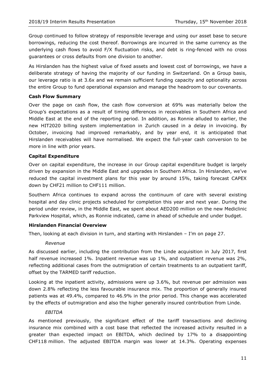Group continued to follow strategy of responsible leverage and using our asset base to secure borrowings, reducing the cost thereof. Borrowings are incurred in the same currency as the underlying cash flows to avoid F/X fluctuation risks, and debt is ring-fenced with no cross guarantees or cross defaults from one division to another.

As Hirslanden has the highest value of fixed assets and lowest cost of borrowings, we have a deliberate strategy of having the majority of our funding in Switzerland. On a Group basis, our leverage ratio is at 3.6x and we remain sufficient funding capacity and optionality across the entire Group to fund operational expansion and manage the headroom to our covenants.

#### **Cash Flow Summary**

Over the page on cash flow, the cash flow conversion at 69% was materially below the Group's expectations as a result of timing differences in receivables in Southern Africa and Middle East at the end of the reporting period. In addition, as Ronnie alluded to earlier, the new HIT2020 billing system implementation in Zurich caused in a delay in invoicing. By October, invoicing had improved remarkably, and by year end, it is anticipated that Hirslanden receivables will have normalised. We expect the full-year cash conversion to be more in line with prior years.

#### **Capital Expenditure**

Over on capital expenditure, the increase in our Group capital expenditure budget is largely driven by expansion in the Middle East and upgrades in Southern Africa. In Hirslanden, we've reduced the capital investment plans for this year by around 15%, taking forecast CAPEX down by CHF21 million to CHF111 million.

Southern Africa continues to expand across the continuum of care with several existing hospital and day clinic projects scheduled for completion this year and next year. During the period under review, in the Middle East, we spent about AED200 million on the new Mediclinic Parkview Hospital, which, as Ronnie indicated, came in ahead of schedule and under budget.

#### **Hirslanden Financial Overview**

Then, looking at each division in turn, and starting with Hirslanden  $-$  I'm on page 27.

#### *Revenue*

As discussed earlier, including the contribution from the Linde acquisition in July 2017, first half revenue increased 1%. Inpatient revenue was up 1%, and outpatient revenue was 2%, reflecting additional cases from the outmigration of certain treatments to an outpatient tariff, offset by the TARMED tariff reduction.

Looking at the inpatient activity, admissions were up 3.6%, but revenue per admission was down 2.8% reflecting the less favourable insurance mix. The proportion of generally insured patients was at 49.4%, compared to 46.9% in the prior period. This change was accelerated by the effects of outmigration and also the higher generally insured contribution from Linde.

#### *EBITDA*

As mentioned previously, the significant effect of the tariff transactions and declining insurance mix combined with a cost base that reflected the increased activity resulted in a greater than expected impact on EBITDA, which declined by 17% to a disappointing CHF118 million. The adjusted EBITDA margin was lower at 14.3%. Operating expenses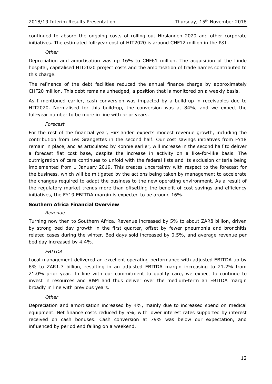continued to absorb the ongoing costs of rolling out Hirslanden 2020 and other corporate initiatives. The estimated full-year cost of HIT2020 is around CHF12 million in the P&L.

#### *Other*

Depreciation and amortisation was up 16% to CHF61 million. The acquisition of the Linde hospital, capitalised HIT2020 project costs and the amortisation of trade names contributed to this charge.

The refinance of the debt facilities reduced the annual finance charge by approximately CHF20 million. This debt remains unhedged, a position that is monitored on a weekly basis.

As I mentioned earlier, cash conversion was impacted by a build-up in receivables due to HIT2020. Normalised for this build-up, the conversion was at 84%, and we expect the full-year number to be more in line with prior years.

#### *Forecast*

For the rest of the financial year, Hirslanden expects modest revenue growth, including the contribution from Les Grangettes in the second half. Our cost savings initiatives from FY18 remain in place, and as articulated by Ronnie earlier, will increase in the second half to deliver a forecast flat cost base, despite the increase in activity on a like-for-like basis. The outmigration of care continues to unfold with the federal lists and its exclusion criteria being implemented from 1 January 2019. This creates uncertainty with respect to the forecast for the business, which will be mitigated by the actions being taken by management to accelerate the changes required to adapt the business to the new operating environment. As a result of the regulatory market trends more than offsetting the benefit of cost savings and efficiency initiatives, the FY19 EBITDA margin is expected to be around 16%.

#### **Southern Africa Financial Overview**

#### *Revenue*

Turning now then to Southern Africa. Revenue increased by 5% to about ZAR8 billion, driven by strong bed day growth in the first quarter, offset by fewer pneumonia and bronchitis related cases during the winter. Bed days sold increased by 0.5%, and average revenue per bed day increased by 4.4%.

#### *EBITDA*

Local management delivered an excellent operating performance with adjusted EBITDA up by 6% to ZAR1.7 billion, resulting in an adjusted EBITDA margin increasing to 21.2% from 21.0% prior year. In line with our commitment to quality care, we expect to continue to invest in resources and R&M and thus deliver over the medium-term an EBITDA margin broadly in line with previous years.

#### *Other*

Depreciation and amortisation increased by 4%, mainly due to increased spend on medical equipment. Net finance costs reduced by 5%, with lower interest rates supported by interest received on cash bonuses. Cash conversion at 79% was below our expectation, and influenced by period end falling on a weekend.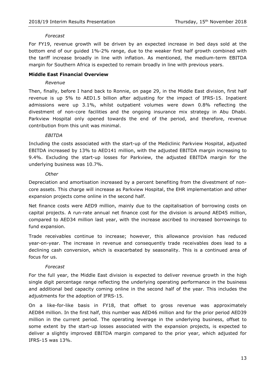#### *Forecast*

For FY19, revenue growth will be driven by an expected increase in bed days sold at the bottom end of our guided 1%-2% range, due to the weaker first half growth combined with the tariff increase broadly in line with inflation. As mentioned, the medium-term EBITDA margin for Southern Africa is expected to remain broadly in line with previous years.

#### **Middle East Financial Overview**

#### *Revenue*

Then, finally, before I hand back to Ronnie, on page 29, in the Middle East division, first half revenue is up 5% to AED1.5 billion after adjusting for the impact of IFRS-15. Inpatient admissions were up 3.1%, whilst outpatient volumes were down 0.8% reflecting the divestment of non-core facilities and the ongoing insurance mix strategy in Abu Dhabi. Parkview Hospital only opened towards the end of the period, and therefore, revenue contribution from this unit was minimal.

#### *EBITDA*

Including the costs associated with the start-up of the Mediclinic Parkview Hospital, adjusted EBITDA increased by 13% to AED141 million, with the adjusted EBITDA margin increasing to 9.4%. Excluding the start-up losses for Parkview, the adjusted EBITDA margin for the underlying business was 10.7%.

#### *Other*

Depreciation and amortisation increased by a percent benefiting from the divestment of noncore assets. This charge will increase as Parkview Hospital, the EHR implementation and other expansion projects come online in the second half.

Net finance costs were AED9 million, mainly due to the capitalisation of borrowing costs on capital projects. A run-rate annual net finance cost for the division is around AED45 million, compared to AED34 million last year, with the increase ascribed to increased borrowings to fund expansion.

Trade receivables continue to increase; however, this allowance provision has reduced year-on-year. The increase in revenue and consequently trade receivables does lead to a declining cash conversion, which is exacerbated by seasonality. This is a continued area of focus for us.

#### *Forecast*

For the full year, the Middle East division is expected to deliver revenue growth in the high single digit percentage range reflecting the underlying operating performance in the business and additional bed capacity coming online in the second half of the year. This includes the adjustments for the adoption of IFRS-15.

On a like-for-like basis in FY18, that offset to gross revenue was approximately AED84 million. In the first half, this number was AED46 million and for the prior period AED39 million in the current period. The operating leverage in the underlying business, offset to some extent by the start-up losses associated with the expansion projects, is expected to deliver a slightly improved EBITDA margin compared to the prior year, which adjusted for IFRS-15 was 13%.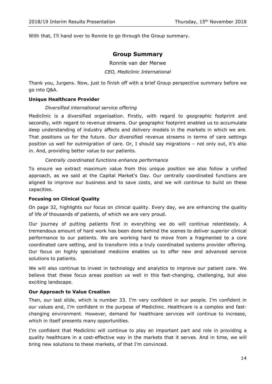With that, I'll hand over to Ronnie to go through the Group summary.

### **Group Summary**

Ronnie van der Merwe

#### *CEO, Mediclinic International*

Thank you, Jurgens. Now, just to finish off with a brief Group perspective summary before we go into Q&A.

#### **Unique Healthcare Provider**

#### *Diversified international service offering*

Mediclinic is a diversified organisation. Firstly, with regard to geographic footprint and secondly, with regard to revenue streams. Our geographic footprint enabled us to accumulate deep understanding of industry affects and delivery models in the markets in which we are. That positions us for the future. Our diversified revenue streams in terms of care settings position us well for outmigration of care. Or, I should say migrations – not only out, it's also in. And, providing better value to our patients.

#### *Centrally coordinated functions enhance performance*

To ensure we extract maximum value from this unique position we also follow a unified approach, as we said at the Capital Market's Day. Our centrally coordinated functions are aligned to improve our business and to save costs, and we will continue to build on these capacities.

#### **Focusing on Clinical Quality**

On page 32, highlights our focus on clinical quality. Every day, we are enhancing the quality of life of thousands of patients, of which we are very proud.

Our journey of putting patients first in everything we do will continue relentlessly. A tremendous amount of hard work has been done behind the scenes to deliver superior clinical performance to our patients. We are working hard to move from a fragmented to a core coordinated care setting, and to transform into a truly coordinated systems provider offering. Our focus on highly specialised medicine enables us to offer new and advanced service solutions to patients.

We will also continue to invest in technology and analytics to improve our patient care. We believe that these focus areas position us well in this fast-changing, challenging, but also exciting landscape.

#### **Our Approach to Value Creation**

Then, our last slide, which is number 33. I'm very confident in our people. I'm confident in our values and, I'm confident in the purpose of Mediclinic. Healthcare is a complex and fastchanging environment. However, demand for healthcare services will continue to increase, which in itself presents many opportunities.

I'm confident that Mediclinic will continue to play an important part and role in providing a quality healthcare in a cost-effective way in the markets that it serves. And in time, we will bring new solutions to these markets, of that I'm convinced.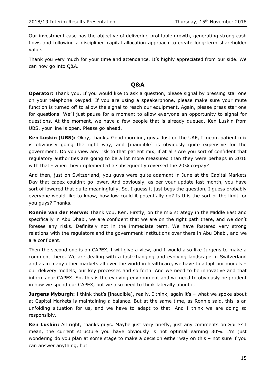Our investment case has the objective of delivering profitable growth, generating strong cash flows and following a disciplined capital allocation approach to create long-term shareholder value.

Thank you very much for your time and attendance. It's highly appreciated from our side. We can now go into Q&A.

# **Q&A**

**Operator:** Thank you. If you would like to ask a question, please signal by pressing star one on your telephone keypad. If you are using a speakerphone, please make sure your mute function is turned off to allow the signal to reach our equipment. Again, please press star one for questions. We'll just pause for a moment to allow everyone an opportunity to signal for questions. At the moment, we have a few people that is already queued. Ken Luskin from UBS, your line is open. Please go ahead.

**Ken Luskin (UBS):** Okay, thanks. Good morning, guys. Just on the UAE, I mean, patient mix is obviously going the right way, and [inaudible] is obviously quite expensive for the government. Do you view any risk to that patient mix, if at all? Are you sort of confident that regulatory authorities are going to be a lot more measured than they were perhaps in 2016 with that - when they implemented a subsequently reversed the 20% co-pay?

And then, just on Switzerland, you guys were quite adamant in June at the Capital Markets Day that capex couldn't go lower. And obviously, as per your update last month, you have sort of lowered that quite meaningfully. So, I guess it just begs the question, I guess probably everyone would like to know, how low could it potentially go? Is this the sort of the limit for you guys? Thanks.

**Ronnie van der Merwe:** Thank you, Ken. Firstly, on the mix strategy in the Middle East and specifically in Abu Dhabi, we are confident that we are on the right path there, and we don't foresee any risks. Definitely not in the immediate term. We have fostered very strong relations with the regulators and the government institutions over there in Abu Dhabi, and we are confident.

Then the second one is on CAPEX, I will give a view, and I would also like Jurgens to make a comment there. We are dealing with a fast-changing and evolving landscape in Switzerland and as in many other markets all over the world in healthcare, we have to adapt our models – our delivery models, our key processes and so forth. And we need to be innovative and that informs our CAPEX. So, this is the evolving environment and we need to obviously be prudent in how we spend our CAPEX, but we also need to think laterally about it.

**Jurgens Myburgh:** I think that's [inaudible], really. I think, again it's - what we spoke about at Capital Markets is maintaining a balance. But at the same time, as Ronnie said, this is an unfolding situation for us, and we have to adapt to that. And I think we are doing so responsibly.

**Ken Luskin:** All right, thanks guys. Maybe just very briefly, just any comments on Spire? I mean, the current structure you have obviously is not optimal earning 30%. I'm just wondering do you plan at some stage to make a decision either way on this – not sure if you can answer anything, but…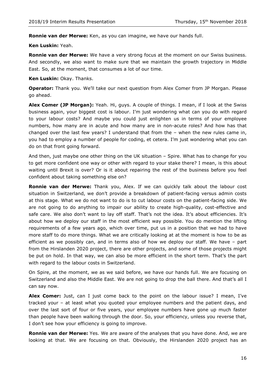**Ronnie van der Merwe:** Ken, as you can imagine, we have our hands full.

#### **Ken Luskin:** Yeah.

**Ronnie van der Merwe:** We have a very strong focus at the moment on our Swiss business. And secondly, we also want to make sure that we maintain the growth trajectory in Middle East. So, at the moment, that consumes a lot of our time.

**Ken Luskin:** Okay. Thanks.

**Operator:** Thank you. We'll take our next question from Alex Comer from JP Morgan. Please go ahead.

**Alex Comer (JP Morgan):** Yeah. Hi, guys. A couple of things. I mean, if I look at the Swiss business again, your biggest cost is labour. I'm just wondering what can you do with regard to your labour costs? And maybe you could just enlighten us in terms of your employee numbers, how many are in acute and how many are in non-acute roles? And how has that changed over the last few years? I understand that from the – when the new rules came in, you had to employ a number of people for coding, et cetera. I'm just wondering what you can do on that front going forward.

And then, just maybe one other thing on the UK situation – Spire. What has to change for you to get more confident one way or other with regard to your stake there? I mean, is this about waiting until Brexit is over? Or is it about repairing the rest of the business before you feel confident about taking something else on?

**Ronnie van der Merwe:** Thank you, Alex. If we can quickly talk about the labour cost situation in Switzerland, we don't provide a breakdown of patient-facing versus admin costs at this stage. What we do not want to do is to cut labour costs on the patient-facing side. We are not going to do anything to impair our ability to create high-quality, cost-effective and safe care. We also don't want to lay off staff. That's not the idea. It's about efficiencies. It's about how we deploy our staff in the most efficient way possible. You do mention the lifting requirements of a few years ago, which over time, put us in a position that we had to have more staff to do more things. What we are critically looking at at the moment is how to be as efficient as we possibly can, and in terms also of how we deploy our staff. We have – part from the Hirslanden 2020 project, there are other projects, and some of those projects might be put on hold. In that way, we can also be more efficient in the short term. That's the part with regard to the labour costs in Switzerland.

On Spire, at the moment, we as we said before, we have our hands full. We are focusing on Switzerland and also the Middle East. We are not going to drop the ball there. And that's all I can say now.

**Alex Comer:** Just, can I just come back to the point on the labour issue? I mean, I've tracked your – at least what you quoted your employee numbers and the patient days, and over the last sort of four or five years, your employee numbers have gone up much faster than people have been walking through the door. So, your efficiency, unless you reverse that, I don't see how your efficiency is going to improve.

**Ronnie van der Merwe:** Yes. We are aware of the analyses that you have done. And, we are looking at that. We are focusing on that. Obviously, the Hirslanden 2020 project has an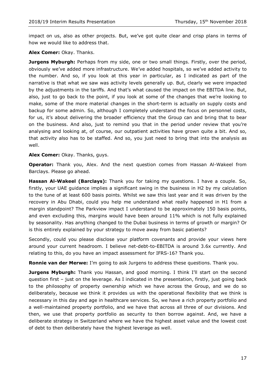impact on us, also as other projects. But, we've got quite clear and crisp plans in terms of how we would like to address that.

#### **Alex Comer:** Okay. Thanks.

**Jurgens Myburgh:** Perhaps from my side, one or two small things. Firstly, over the period, obviously we've added more infrastructure. We've added hospitals, so we've added activity to the number. And so, if you look at this year in particular, as I indicated as part of the narrative is that what we saw was activity levels generally up. But, clearly we were impacted by the adjustments in the tariffs. And that's what caused the impact on the EBITDA line. But, also, just to go back to the point, if you look at some of the changes that we're looking to make, some of the more material changes in the short-term is actually on supply costs and backup for some admin. So, although I completely understand the focus on personnel costs, for us, it's about delivering the broader efficiency that the Group can and bring that to bear on the business. And also, just to remind you that in the period under review that you're analysing and looking at, of course, our outpatient activities have grown quite a bit. And so, that activity also has to be staffed. And so, you just need to bring that into the analysis as well.

#### **Alex Comer:** Okay. Thanks, guys.

**Operator:** Thank you, Alex. And the next question comes from Hassan Al-Wakeel from Barclays. Please go ahead.

**Hassan Al-Wakeel (Barclays):** Thank you for taking my questions. I have a couple. So, firstly, your UAE guidance implies a significant swing in the business in H2 by my calculation to the tune of at least 600 basis points. Whilst we saw this last year and it was driven by the recovery in Abu Dhabi, could you help me understand what really happened in H1 from a margin standpoint? The Parkview impact I understand to be approximately 150 basis points, and even excluding this, margins would have been around 11% which is not fully explained by seasonality. Has anything changed to the Dubai business in terms of growth or margin? Or is this entirely explained by your strategy to move away from basic patients?

Secondly, could you please disclose your platform covenants and provide your views here around your current headroom. I believe net-debt-to-EBITDA is around 3.6x currently. And relating to this, do you have an impact assessment for IFRS-16? Thank you.

**Ronnie van der Merwe:** I'm going to ask Jurgens to address these questions. Thank you.

**Jurgens Myburgh:** Thank you Hassan, and good morning. I think I'll start on the second question first – just on the leverage. As I indicated in the presentation, firstly, just going back to the philosophy of property ownership which we have across the Group, and we do so deliberately, because we think it provides us with the operational flexibility that we think is necessary in this day and age in healthcare services. So, we have a rich property portfolio and a well-maintained property portfolio, and we have that across all three of our divisions. And then, we use that property portfolio as security to then borrow against. And, we have a deliberate strategy in Switzerland where we have the highest asset value and the lowest cost of debt to then deliberately have the highest leverage as well.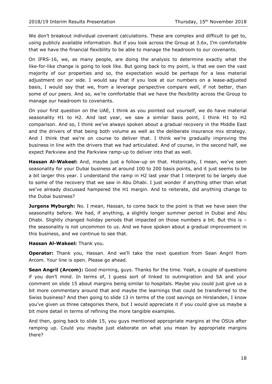We don't breakout individual covenant calculations. These are complex and difficult to get to, using publicly available information. But if you look across the Group at 3.6x, I'm comfortable that we have the financial flexibility to be able to manage the headroom to our covenants.

On IFRS-16, we, as many people, are doing the analysis to determine exactly what the like-for-like change is going to look like. But going back to my point, is that we own the vast majority of our properties and so, the expectation would be perhaps for a less material adjustment on our side. I would say that if you look at our numbers on a lease-adjusted basis, I would say that we, from a leverage perspective compare well, if not better, than some of our peers. And so, we're comfortable that we have the flexibility across the Group to manage our headroom to covenants.

On your first question on the UAE, I think as you pointed out yourself, we do have material seasonality H1 to H2. And last year, we saw a similar basis point, I think H1 to H2 comparison. And so, I think we've always spoken about a gradual recovery in the Middle East and the drivers of that being both volume as well as the deliberate insurance mix strategy. And I think that we're on course to deliver that. I think we're gradually improving the business in line with the drivers that we had articulated. And of course, in the second half, we expect Parkview and the Parkview ramp-up to deliver into that as well.

**Hassan Al-Wakeel:** And, maybe just a follow-up on that. Historically, I mean, we've seen seasonality for your Dubai business at around 100 to 200 basis points, and it just seems to be a bit larger this year. I understand the ramp in H2 last year that I interpret to be largely due to some of the recovery that we saw in Abu Dhabi. I just wonder if anything other than what we've already discussed hampered the H1 margin. And to reiterate, did anything change to the Dubai business?

**Jurgens Myburgh:** No. I mean, Hassan, to come back to the point is that we have seen the seasonality before. We had, if anything, a slightly longer summer period in Dubai and Abu Dhabi. Slightly changed holiday periods that impacted on those numbers a bit. But this is – the seasonality is not uncommon to us. And we have spoken about a gradual improvement in this business, and we continue to see that.

#### **Hassan Al-Wakeel:** Thank you.

**Operator:** Thank you, Hassan. And we'll take the next question from Sean Angril from Arcom. Your line is open. Please go ahead.

**Sean Angril (Arcom):** Good morning, guys. Thanks for the time. Yeah, a couple of questions if you don't mind. In terms of, I guess sort of linked to outmigration and SA and your comment on slide 15 about margins being similar to hospitals. Maybe you could just give us a bit more commentary around that and maybe the learnings that could be transferred to the Swiss business? And then going to slide 13 in terms of the cost savings on Hirslanden, I know you've given us three categories there, but I would appreciate it if you could give us maybe a bit more detail in terms of refining the more tangible examples.

And then, going back to slide 15, you guys mentioned appropriate margins at the OSUs after ramping up. Could you maybe just elaborate on what you mean by appropriate margins there?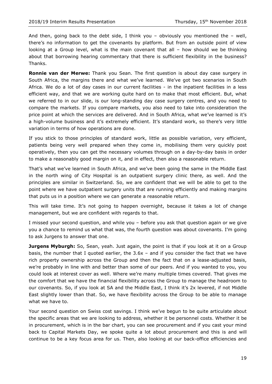And then, going back to the debt side, I think you – obviously you mentioned the – well, there's no information to get the covenants by platform. But from an outside point of view looking at a Group level, what is the main covenant that all – how should we be thinking about that borrowing hearing commentary that there is sufficient flexibility in the business? Thanks.

**Ronnie van der Merwe:** Thank you Sean. The first question is about day case surgery in South Africa, the margins there and what we've learned. We've got two scenarios in South Africa. We do a lot of day cases in our current facilities - in the inpatient facilities in a less efficient way, and that we are working quite hard on to make that most efficient. But, what we referred to in our slide, is our long-standing day case surgery centres, and you need to compare the markets. If you compare markets, you also need to take into consideration the price point at which the services are delivered. And in South Africa, what we've learned is it's a high-volume business and it's extremely efficient. It's standard work, so there's very little variation in terms of how operations are done.

If you stick to those principles of standard work, little as possible variation, very efficient, patients being very well prepared when they come in, mobilising them very quickly post operatively, then you can get the necessary volumes through on a day-by-day basis in order to make a reasonably good margin on it, and in effect, then also a reasonable return.

That's what we've learned in South Africa, and we've been going the same in the Middle East in the north wing of City Hospital is an outpatient surgery clinic there, as well. And the principles are similar in Switzerland. So, we are confident that we will be able to get to the point where we have outpatient surgery units that are running efficiently and making margins that puts us in a position where we can generate a reasonable return.

This will take time. It's not going to happen overnight, because it takes a lot of change management, but we are confident with regards to that.

I missed your second question, and while you – before you ask that question again or we give you a chance to remind us what that was, the fourth question was about covenants. I'm going to ask Jurgens to answer that one.

**Jurgens Myburgh:** So, Sean, yeah. Just again, the point is that if you look at it on a Group basis, the number that I quoted earlier, the 3.6x – and if you consider the fact that we have rich property ownership across the Group and then the fact that on a lease-adjusted basis, we're probably in line with and better than some of our peers. And if you wanted to you, you could look at interest cover as well. Where we're many multiple times covered. That gives me the comfort that we have the financial flexibility across the Group to manage the headroom to our covenants. So, if you look at SA and the Middle East, I think it's 2x levered, if not Middle East slightly lower than that. So, we have flexibility across the Group to be able to manage what we have to.

Your second question on Swiss cost savings. I think we've begun to be quite articulate about the specific areas that we are looking to address, whether it be personnel costs. Whether it be in procurement, which is in the bar chart, you can see procurement and if you cast your mind back to Capital Markets Day, we spoke quite a lot about procurement and this is and will continue to be a key focus area for us. Then, also looking at our back-office efficiencies and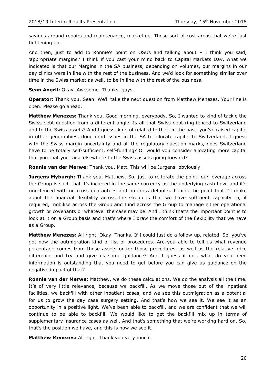savings around repairs and maintenance, marketing. Those sort of cost areas that we're just tightening up.

And then, just to add to Ronnie's point on OSUs and talking about – I think you said, 'appropriate margins.' I think if you cast your mind back to Capital Markets Day, what we indicated is that our Margins in the SA business, depending on volumes, our margins in our day clinics were in line with the rest of the business. And we'd look for something similar over time in the Swiss market as well, to be in line with the rest of the business.

**Sean Angril:** Okay. Awesome. Thanks, guys.

**Operator:** Thank you, Sean. We'll take the next question from Matthew Menezes. Your line is open. Please go ahead.

**Matthew Menezes:** Thank you. Good morning, everybody. So, I wanted to kind of tackle the Swiss debt question from a different angle. Is all that Swiss debt ring-fenced to Switzerland and to the Swiss assets? And I guess, kind of related to that, in the past, you've raised capital in other geographies, done rand issues in the SA to allocate capital to Switzerland. I guess with the Swiss margin uncertainty and all the regulatory question marks, does Switzerland have to be totally self-sufficient, self-funding? Or would you consider allocating more capital that you that you raise elsewhere to the Swiss assets going forward?

**Ronnie van der Merwe:** Thank you, Matt. This will be Jurgens, obviously.

**Jurgens Myburgh:** Thank you, Matthew. So, just to reiterate the point, our leverage across the Group is such that it's incurred in the same currency as the underlying cash flow, and it's ring-fenced with no cross guarantees and no cross defaults. I think the point that I'll make about the financial flexibility across the Group is that we have sufficient capacity to, if required, mobilise across the Group and fund across the Group to manage either operational growth or covenants or whatever the case may be. And I think that's the important point is to look at it on a Group basis and that's where I draw the comfort of the flexibility that we have as a Group.

**Matthew Menezes:** All right. Okay. Thanks. If I could just do a follow-up, related. So, you've got now the outmigration kind of list of procedures. Are you able to tell us what revenue percentage comes from those assets or for those procedures, as well as the relative price difference and try and give us some guidance? And I guess if not, what do you need information is outstanding that you need to get before you can give us guidance on the negative impact of that?

**Ronnie van der Merwe:** Matthew, we do these calculations. We do the analysis all the time. It's of very little relevance, because we backfill. As we move those out of the inpatient facilities, we backfill with other inpatient cases, and we see this outmigration as a potential for us to grow the day case surgery setting. And that's how we see it. We see it as an opportunity in a positive light. We've been able to backfill, and we are confident that we will continue to be able to backfill. We would like to get the backfill mix up in terms of supplementary insurance cases as well. And that's something that we're working hard on. So, that's the position we have, and this is how we see it.

**Matthew Menezes:** All right. Thank you very much.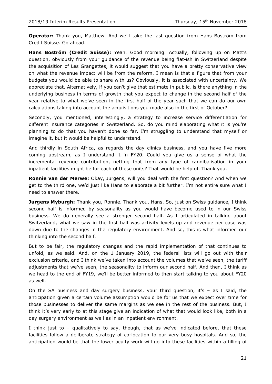**Operator:** Thank you, Matthew. And we'll take the last question from Hans Boström from Credit Suisse. Go ahead.

**Hans Boström (Credit Suisse):** Yeah. Good morning. Actually, following up on Matt's question, obviously from your guidance of the revenue being flat-ish in Switzerland despite the acquisition of Les Grangettes, it would suggest that you have a pretty conservative view on what the revenue impact will be from the reform. I mean is that a figure that from your budgets you would be able to share with us? Obviously, it is associated with uncertainty. We appreciate that. Alternatively, if you can't give that estimate in public, is there anything in the underlying business in terms of growth that you expect to change in the second half of the year relative to what we've seen in the first half of the year such that we can do our own calculations taking into account the acquisitions you made also in the first of October?

Secondly, you mentioned, interestingly, a strategy to increase service differentiation for different insurance categories in Switzerland. So, do you mind elaborating what it is you're planning to do that you haven't done so far. I'm struggling to understand that myself or imagine it, but it would be helpful to understand.

And thirdly in South Africa, as regards the day clinics business, and you have five more coming upstream, as I understand it in FY20. Could you give us a sense of what the incremental revenue contribution, netting that from any type of cannibalisation in your inpatient facilities might be for each of these units? That would be helpful. Thank you.

**Ronnie van der Merwe:** Okay, Jurgens, will you deal with the first question? And when we get to the third one, we'd just like Hans to elaborate a bit further. I'm not entire sure what I need to answer there.

**Jurgens Myburgh:** Thank you, Ronnie. Thank you, Hans. So, just on Swiss guidance, I think second half is informed by seasonality as you would have become used to in our Swiss business. We do generally see a stronger second half. As I articulated in talking about Switzerland, what we saw in the first half was activity levels up and revenue per case was down due to the changes in the regulatory environment. And so, this is what informed our thinking into the second half.

But to be fair, the regulatory changes and the rapid implementation of that continues to unfold, as we said. And, on the 1 January 2019, the federal lists will go out with their exclusion criteria, and I think we've taken into account the volumes that we've seen, the tariff adjustments that we've seen, the seasonality to inform our second half. And then, I think as we head to the end of FY19, we'll be better informed to then start talking to you about FY20 as well.

On the SA business and day surgery business, your third question, it's  $-$  as I said, the anticipation given a certain volume assumption would be for us that we expect over time for those businesses to deliver the same margins as we see in the rest of the business. But, I think it's very early to at this stage give an indication of what that would look like, both in a day surgery environment as well as in an inpatient environment.

I think just to – qualitatively to say, though, that as we've indicated before, that these facilities follow a deliberate strategy of co-location to our very busy hospitals. And so, the anticipation would be that the lower acuity work will go into these facilities within a filling of